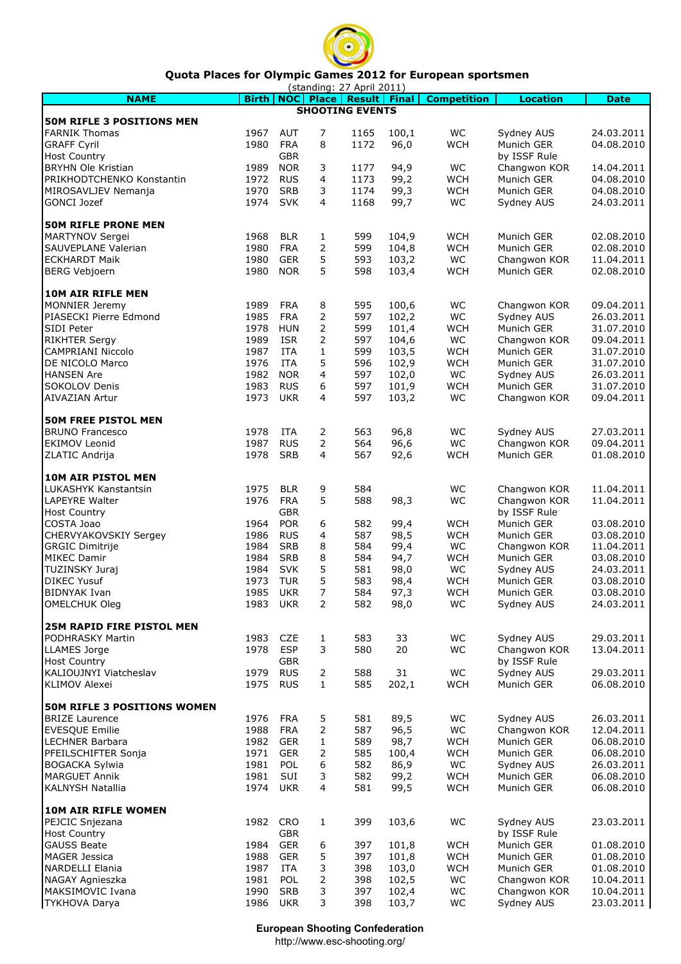

## Quota Places for Olympic Games 2012 for European sportsmen

|                                  |              |            |                | (standing: 27 April 2011)         |       |                    |                 |             |
|----------------------------------|--------------|------------|----------------|-----------------------------------|-------|--------------------|-----------------|-------------|
| <b>NAME</b>                      | <b>Birth</b> |            |                | <b>NOC Place   Result   Final</b> |       | <b>Competition</b> | <b>Location</b> | <b>Date</b> |
| <b>50M RIFLE 3 POSITIONS MEN</b> |              |            |                | <b>SHOOTING EVENTS</b>            |       |                    |                 |             |
|                                  |              | <b>AUT</b> |                |                                   |       | WC                 |                 |             |
| <b>FARNIK Thomas</b>             | 1967         |            | 7<br>8         | 1165                              | 100,1 |                    | Sydney AUS      | 24.03.2011  |
| <b>GRAFF Cyril</b>               | 1980         | <b>FRA</b> |                | 1172                              | 96,0  | <b>WCH</b>         | Munich GER      | 04.08.2010  |
| <b>Host Country</b>              |              | <b>GBR</b> |                |                                   |       |                    | by ISSF Rule    |             |
| <b>BRYHN Ole Kristian</b>        | 1989         | <b>NOR</b> | 3              | 1177                              | 94,9  | WC                 | Changwon KOR    | 14.04.2011  |
| PRIKHODTCHENKO Konstantin        | 1972         | <b>RUS</b> | 4              | 1173                              | 99,2  | <b>WCH</b>         | Munich GER      | 04.08.2010  |
| MIROSAVLJEV Nemanja              | 1970         | <b>SRB</b> | 3              | 1174                              | 99,3  | <b>WCH</b>         | Munich GER      | 04.08.2010  |
| GONCI Jozef                      | 1974         | <b>SVK</b> | 4              | 1168                              | 99,7  | WC                 | Sydney AUS      | 24.03.2011  |
|                                  |              |            |                |                                   |       |                    |                 |             |
| <b>50M RIFLE PRONE MEN</b>       |              |            |                |                                   |       |                    |                 |             |
| MARTYNOV Sergei                  | 1968         | <b>BLR</b> | 1              | 599                               | 104,9 | <b>WCH</b>         | Munich GER      | 02.08.2010  |
| SAUVEPLANE Valerian              | 1980         | <b>FRA</b> | $\overline{2}$ | 599                               | 104,8 | <b>WCH</b>         | Munich GER      | 02.08.2010  |
| <b>ECKHARDT Maik</b>             | 1980         | <b>GER</b> | 5              | 593                               | 103,2 | WC                 | Changwon KOR    | 11.04.2011  |
| <b>BERG Vebjoern</b>             | 1980         | <b>NOR</b> | 5              | 598                               | 103,4 | <b>WCH</b>         | Munich GER      | 02.08.2010  |
|                                  |              |            |                |                                   |       |                    |                 |             |
| <b>10M AIR RIFLE MEN</b>         |              |            |                |                                   |       |                    |                 |             |
| MONNIER Jeremy                   | 1989         | <b>FRA</b> | 8              | 595                               | 100,6 | WC                 | Changwon KOR    | 09.04.2011  |
| PIASECKI Pierre Edmond           | 1985         | <b>FRA</b> | $\overline{2}$ | 597                               | 102,2 | WC                 | Sydney AUS      | 26.03.2011  |
| SIDI Peter                       | 1978         | <b>HUN</b> | 2              | 599                               | 101,4 | <b>WCH</b>         | Munich GER      | 31.07.2010  |
| <b>RIKHTER Sergy</b>             | 1989         | <b>ISR</b> | 2              | 597                               | 104,6 | WC                 | Changwon KOR    | 09.04.2011  |
| <b>CAMPRIANI Niccolo</b>         | 1987         | <b>ITA</b> | $\mathbf{1}$   | 599                               | 103,5 | <b>WCH</b>         | Munich GER      | 31.07.2010  |
| DE NICOLO Marco                  | 1976         | <b>ITA</b> | 5              | 596                               | 102,9 | <b>WCH</b>         | Munich GER      | 31.07.2010  |
| <b>HANSEN Are</b>                | 1982         | <b>NOR</b> | 4              | 597                               | 102,0 | WC                 | Sydney AUS      | 26.03.2011  |
| SOKOLOV Denis                    | 1983         | <b>RUS</b> | 6              | 597                               | 101,9 | <b>WCH</b>         | Munich GER      | 31.07.2010  |
| <b>AIVAZIAN Artur</b>            | 1973         | <b>UKR</b> | 4              | 597                               | 103,2 | WC                 | Changwon KOR    | 09.04.2011  |
|                                  |              |            |                |                                   |       |                    |                 |             |
| <b>50M FREE PISTOL MEN</b>       |              |            |                |                                   |       |                    |                 |             |
| <b>BRUNO Francesco</b>           | 1978         | <b>ITA</b> | 2              | 563                               | 96,8  | WC                 | Sydney AUS      | 27.03.2011  |
| <b>EKIMOV Leonid</b>             | 1987         | <b>RUS</b> | $\overline{2}$ | 564                               | 96,6  | WC                 | Changwon KOR    | 09.04.2011  |
| ZLATIC Andrija                   | 1978         | <b>SRB</b> | 4              | 567                               | 92,6  | <b>WCH</b>         | Munich GER      | 01.08.2010  |
|                                  |              |            |                |                                   |       |                    |                 |             |
| 10M AIR PISTOL MEN               |              |            |                |                                   |       |                    |                 |             |
| <b>LUKASHYK Kanstantsin</b>      | 1975         | <b>BLR</b> | 9              | 584                               |       | WC                 | Changwon KOR    | 11.04.2011  |
| <b>LAPEYRE Walter</b>            | 1976         | <b>FRA</b> | 5              | 588                               | 98,3  | WC                 | Changwon KOR    | 11.04.2011  |
| <b>Host Country</b>              |              | <b>GBR</b> |                |                                   |       |                    | by ISSF Rule    |             |
| COSTA Joao                       | 1964         | <b>POR</b> | 6              | 582                               | 99,4  | <b>WCH</b>         | Munich GER      | 03.08.2010  |
| <b>CHERVYAKOVSKIY Sergey</b>     | 1986         | <b>RUS</b> | 4              | 587                               | 98,5  | <b>WCH</b>         | Munich GER      | 03.08.2010  |
| <b>GRGIC Dimitrije</b>           | 1984         | <b>SRB</b> | 8              | 584                               | 99,4  | WC                 | Changwon KOR    | 11.04.2011  |
| <b>MIKEC Damir</b>               | 1984         | <b>SRB</b> | 8              | 584                               | 94,7  | <b>WCH</b>         | Munich GER      | 03.08.2010  |
| TUZINSKY Juraj                   | 1984         | <b>SVK</b> | 5              | 581                               | 98,0  | <b>WC</b>          | Sydney AUS      | 24.03.2011  |
| <b>DIKEC Yusuf</b>               | 1973         | <b>TUR</b> | 5              | 583                               | 98,4  | <b>WCH</b>         | Munich GER      | 03.08.2010  |
| <b>BIDNYAK Ivan</b>              | 1985         | <b>UKR</b> | $\overline{7}$ | 584                               | 97,3  | <b>WCH</b>         | Munich GER      | 03.08.2010  |
| OMELCHUK Oleg                    | 1983         | UKR        | 2              | 582                               | 98,0  | WC                 | Sydney AUS      | 24.03.2011  |
|                                  |              |            |                |                                   |       |                    |                 |             |
| <b>25M RAPID FIRE PISTOL MEN</b> |              |            |                |                                   |       |                    |                 |             |
| PODHRASKY Martin                 | 1983         | <b>CZE</b> | 1              | 583                               | 33    | WC                 | Sydney AUS      | 29.03.2011  |
| <b>LLAMES Jorge</b>              | 1978         | <b>ESP</b> | 3              | 580                               | 20    | WC                 | Changwon KOR    | 13.04.2011  |
| <b>Host Country</b>              |              | GBR        |                |                                   |       |                    | by ISSF Rule    |             |
| KALIOUJNYI Viatcheslav           | 1979         | <b>RUS</b> | $\overline{2}$ | 588                               | 31    | WC                 | Sydney AUS      | 29.03.2011  |
| <b>KLIMOV Alexei</b>             | 1975         | <b>RUS</b> | $\mathbf{1}$   | 585                               | 202,1 | <b>WCH</b>         | Munich GER      | 06.08.2010  |
|                                  |              |            |                |                                   |       |                    |                 |             |
| 50M RIFLE 3 POSITIONS WOMEN      |              |            |                |                                   |       |                    |                 |             |
| <b>BRIZE Laurence</b>            | 1976         | <b>FRA</b> | 5              | 581                               | 89,5  | WC                 | Sydney AUS      | 26.03.2011  |
| <b>EVESQUE Emilie</b>            | 1988         | <b>FRA</b> | 2              | 587                               | 96,5  | WC                 | Changwon KOR    | 12.04.2011  |
|                                  | 1982         | <b>GER</b> |                | 589                               | 98,7  | <b>WCH</b>         | Munich GER      |             |
| <b>LECHNER Barbara</b>           |              |            | 1              |                                   |       |                    |                 | 06.08.2010  |
| PFEILSCHIFTER Sonja              | 1971         | <b>GER</b> | 2              | 585                               | 100,4 | <b>WCH</b>         | Munich GER      | 06.08.2010  |
| <b>BOGACKA Sylwia</b>            | 1981         | POL        | 6              | 582                               | 86,9  | WC                 | Sydney AUS      | 26.03.2011  |
| <b>MARGUET Annik</b>             | 1981         | <b>SUI</b> | 3              | 582                               | 99,2  | <b>WCH</b>         | Munich GER      | 06.08.2010  |
| <b>KALNYSH Natallia</b>          | 1974         | UKR        | 4              | 581                               | 99,5  | <b>WCH</b>         | Munich GER      | 06.08.2010  |
|                                  |              |            |                |                                   |       |                    |                 |             |
| 10M AIR RIFLE WOMEN              |              |            |                |                                   |       |                    |                 |             |
| PEJCIC Snjezana                  | 1982         | CRO        | 1              | 399                               | 103,6 | WC                 | Sydney AUS      | 23.03.2011  |
| <b>Host Country</b>              |              | GBR        |                |                                   |       |                    | by ISSF Rule    |             |
| <b>GAUSS Beate</b>               | 1984         | <b>GER</b> | 6              | 397                               | 101,8 | <b>WCH</b>         | Munich GER      | 01.08.2010  |
| MAGER Jessica                    | 1988         | <b>GER</b> | 5              | 397                               | 101,8 | <b>WCH</b>         | Munich GER      | 01.08.2010  |
| NARDELLI Elania                  | 1987         | <b>ITA</b> | 3              | 398                               | 103,0 | <b>WCH</b>         | Munich GER      | 01.08.2010  |
| NAGAY Agnieszka                  | 1981         | POL        |                | 398                               | 102,5 | WC                 | Changwon KOR    | 10.04.2011  |
| MAKSIMOVIC Ivana                 | 1990         | <b>SRB</b> | 3              | 397                               | 102,4 | WC                 | Changwon KOR    | 10.04.2011  |
| <b>TYKHOVA Darya</b>             | 1986         | <b>UKR</b> | 3              | 398                               | 103,7 | WC                 | Sydney AUS      | 23.03.2011  |

European Shooting Confederation

http://www.esc-shooting.org/